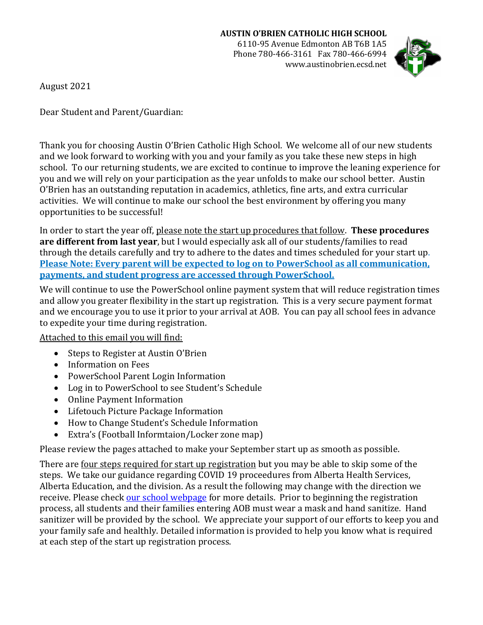Phone 780-466-3161 Fax 780-466-6994 www.austinobrien.ecsd.net



August 2021

Dear Student and Parent/Guardian:

Thank you for choosing Austin O'Brien Catholic High School. We welcome all of our new students and we look forward to working with you and your family as you take these new steps in high school. To our returning students, we are excited to continue to improve the leaning experience for you and we will rely on your participation as the year unfolds to make our school better. Austin O'Brien has an outstanding reputation in academics, athletics, fine arts, and extra curricular activities. We will continue to make our school the best environment by offering you many opportunities to be successful!

In order to start the year off, please note the start up procedures that follow. **These procedures are different from last year**, but I would especially ask all of our students/families to read through the details carefully and try to adhere to the dates and times scheduled for your start up. **Please Note: Every parent will be expected to log on to PowerSchool as all communication, payments, and student progress are accessed through PowerSchool.**

We will continue to use the PowerSchool online payment system that will reduce registration times and allow you greater flexibility in the start up registration. This is a very secure payment format and we encourage you to use it prior to your arrival at AOB. You can pay all school fees in advance to expedite your time during registration.

Attached to this email you will find:

- Steps to Register at Austin O'Brien
- Information on Fees
- PowerSchool Parent Login Information
- Log in to PowerSchool to see Student's Schedule
- Online Payment Information
- Lifetouch Picture Package Information<br>• How to Change Student's Schedule Info
- How to Change Student's Schedule Information
- Extra's (Football Informtaion/Locker zone map)

Please review the pages attached to make your September start up as smooth as possible.

There are four steps required for start up registration but you may be able to skip some of the steps. We take our guidance regarding COVID 19 proceedures from Alberta Health Services, Alberta Education, and the division. As a result the following may change with the direction we receive. Please check [our school webpage](https://www.ecsd.net/8402) for more details. Prior to beginning the registration process, all students and their families entering AOB must wear a mask and hand sanitize. Hand sanitizer will be provided by the school. We appreciate your support of our efforts to keep you and your family safe and healthly. Detailed information is provided to help you know what is required at each step of the start up registration process.